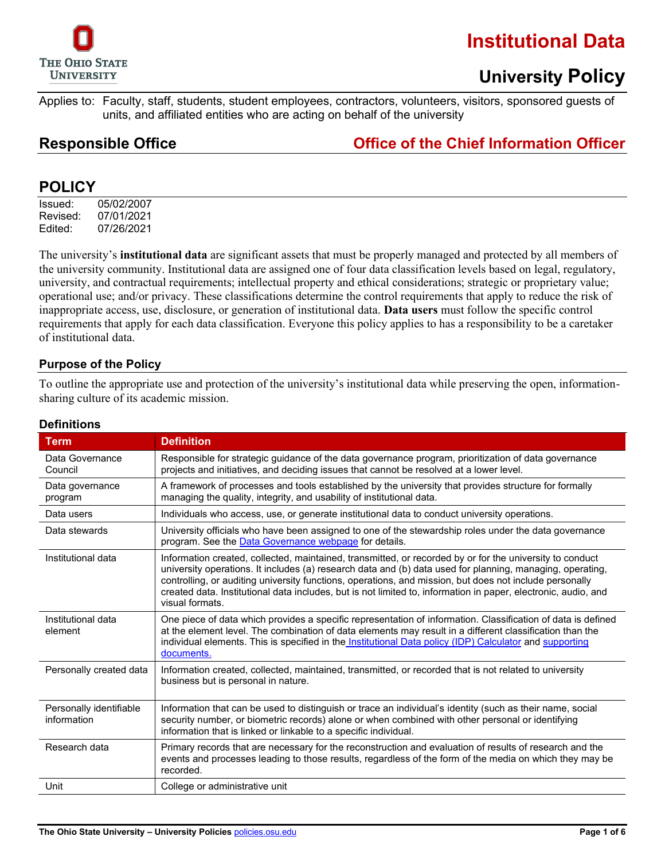

### **University Policy**

Applies to: Faculty, staff, students, student employees, contractors, volunteers, visitors, sponsored guests of units, and affiliated entities who are acting on behalf of the university

### **Responsible Office Office of the Chief Information Officer**

### **POLICY**

Issued: 05/02/2007 Revised: 07/01/2021 Edited: 07/26/2021

The university's **institutional data** are significant assets that must be properly managed and protected by all members of the university community. Institutional data are assigned one of four data classification levels based on legal, regulatory, university, and contractual requirements; intellectual property and ethical considerations; strategic or proprietary value; operational use; and/or privacy. These classifications determine the control requirements that apply to reduce the risk of inappropriate access, use, disclosure, or generation of institutional data. **Data users** must follow the specific control requirements that apply for each data classification. Everyone this policy applies to has a responsibility to be a caretaker of institutional data.

#### **Purpose of the Policy**

To outline the appropriate use and protection of the university's institutional data while preserving the open, informationsharing culture of its academic mission.

#### **Definitions**

| <b>Term</b>                            | <b>Definition</b>                                                                                                                                                                                                                                                                                                                                                                                                                                                     |  |  |  |
|----------------------------------------|-----------------------------------------------------------------------------------------------------------------------------------------------------------------------------------------------------------------------------------------------------------------------------------------------------------------------------------------------------------------------------------------------------------------------------------------------------------------------|--|--|--|
| Data Governance<br>Council             | Responsible for strategic guidance of the data governance program, prioritization of data governance<br>projects and initiatives, and deciding issues that cannot be resolved at a lower level.                                                                                                                                                                                                                                                                       |  |  |  |
| Data governance<br>program             | A framework of processes and tools established by the university that provides structure for formally<br>managing the quality, integrity, and usability of institutional data.                                                                                                                                                                                                                                                                                        |  |  |  |
| Data users                             | Individuals who access, use, or generate institutional data to conduct university operations.                                                                                                                                                                                                                                                                                                                                                                         |  |  |  |
| Data stewards                          | University officials who have been assigned to one of the stewardship roles under the data governance<br>program. See the Data Governance webpage for details.                                                                                                                                                                                                                                                                                                        |  |  |  |
| Institutional data                     | Information created, collected, maintained, transmitted, or recorded by or for the university to conduct<br>university operations. It includes (a) research data and (b) data used for planning, managing, operating,<br>controlling, or auditing university functions, operations, and mission, but does not include personally<br>created data. Institutional data includes, but is not limited to, information in paper, electronic, audio, and<br>visual formats. |  |  |  |
| Institutional data<br>element          | One piece of data which provides a specific representation of information. Classification of data is defined<br>at the element level. The combination of data elements may result in a different classification than the<br>individual elements. This is specified in the Institutional Data policy (IDP) Calculator and supporting<br>documents.                                                                                                                     |  |  |  |
| Personally created data                | Information created, collected, maintained, transmitted, or recorded that is not related to university<br>business but is personal in nature.                                                                                                                                                                                                                                                                                                                         |  |  |  |
| Personally identifiable<br>information | Information that can be used to distinguish or trace an individual's identity (such as their name, social<br>security number, or biometric records) alone or when combined with other personal or identifying<br>information that is linked or linkable to a specific individual.                                                                                                                                                                                     |  |  |  |
| Research data                          | Primary records that are necessary for the reconstruction and evaluation of results of research and the<br>events and processes leading to those results, regardless of the form of the media on which they may be<br>recorded.                                                                                                                                                                                                                                       |  |  |  |
| Unit                                   | College or administrative unit                                                                                                                                                                                                                                                                                                                                                                                                                                        |  |  |  |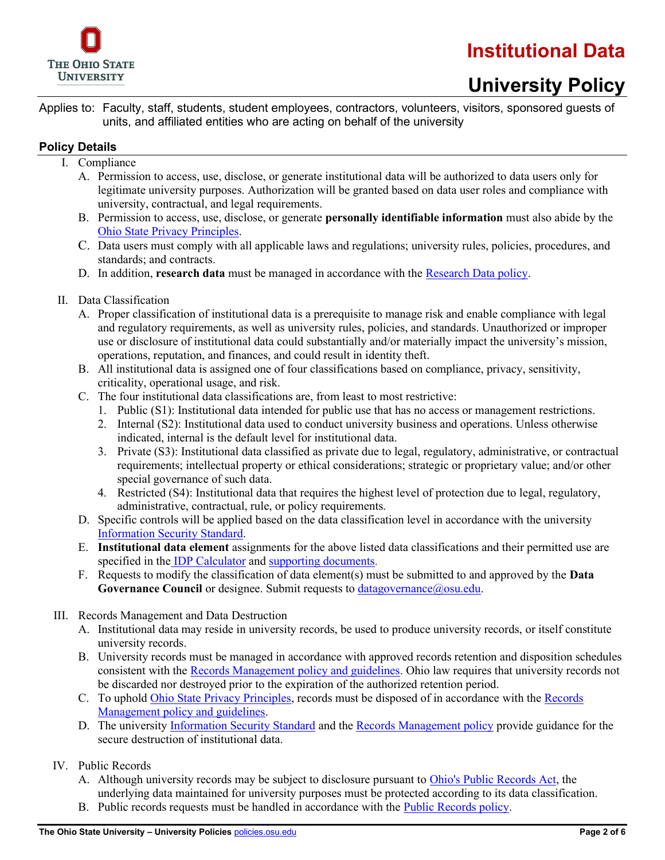

Applies to: Faculty, staff, students, student employees, contractors, volunteers, visitors, sponsored guests of units, and affiliated entities who are acting on behalf of the university

#### **Policy Details**

- I. Compliance
	- A. Permission to access, use, disclose, or generate institutional data will be authorized to data users only for legitimate university purposes. Authorization will be granted based on data user roles and compliance with university, contractual, and legal requirements.
	- B. Permission to access, use, disclose, or generate **personally identifiable information** must also abide by the [Ohio State Privacy Principles.](https://it.osu.edu/privacy)
	- C. Data users must comply with all applicable laws and regulations; university rules, policies, procedures, and standards; and contracts.
	- D. In addition, **research data** must be managed in accordance with the [Research Data policy.](http://go.osu.edu/researchdatapolicy)
- II. Data Classification
	- A. Proper classification of institutional data is a prerequisite to manage risk and enable compliance with legal and regulatory requirements, as well as university rules, policies, and standards. Unauthorized or improper use or disclosure of institutional data could substantially and/or materially impact the university's mission, operations, reputation, and finances, and could result in identity theft.
	- B. All institutional data is assigned one of four classifications based on compliance, privacy, sensitivity, criticality, operational usage, and risk.
	- C. The four institutional data classifications are, from least to most restrictive:
		- 1. Public (S1): Institutional data intended for public use that has no access or management restrictions.
		- 2. Internal (S2): Institutional data used to conduct university business and operations. Unless otherwise indicated, internal is the default level for institutional data.
		- 3. Private (S3): Institutional data classified as private due to legal, regulatory, administrative, or contractual requirements; intellectual property or ethical considerations; strategic or proprietary value; and/or other special governance of such data.
		- 4. Restricted (S4): Institutional data that requires the highest level of protection due to legal, regulatory, administrative, contractual, rule, or policy requirements.
	- D. Specific controls will be applied based on the data classification level in accordance with the university [Information Security Standard.](https://go.osu.edu/infosec-iss)
	- E. **Institutional data element** assignments for the above listed data classifications and their permitted use are specified in the IDP [Calculator](https://go.osu.edu/idp-calc) an[d supporting documents](https://cybersecurity.osu.edu/cybersecurity-osu/internal-policies-compliance/institutional-data-policy).
	- F. Requests to modify the classification of data element(s) must be submitted to and approved by the **Data**  Governance Council or designee. Submit requests to [datagovernance@osu.edu.](mailto:datagovernance@osu.edu)
- III. Records Management and Data Destruction
	- A. Institutional data may reside in university records, be used to produce university records, or itself constitute university records.
	- B. University records must be managed in accordance with approved records retention and disposition schedules consistent with the [Records Management policy and guidelines.](http://go.osu.edu/records) Ohio law requires that university records not be discarded nor destroyed prior to the expiration of the authorized retention period.
	- C. To uphold [Ohio State Privacy Principles,](https://it.osu.edu/privacy) records must be disposed of in accordance with the [Records](http://go.osu.edu/records)  [Management policy and guidelines.](http://go.osu.edu/records)
	- D. The university [Information Security Standard](https://go.osu.edu/infosec-iss) and the [Records Management policy](https://library.osu.edu/osu-records-management/policy) provide guidance for the secure destruction of institutional data.
- IV. Public Records
	- A. Although university records may be subject to disclosure pursuant to [Ohio's Public Records Act,](http://codes.ohio.gov/orc/149.43) the underlying data maintained for university purposes must be protected according to its data classification.
	- B. Public records requests must be handled in accordance with the [Public Records policy.](http://compliance.osu.edu/PublicRecordsPolicy.pdf)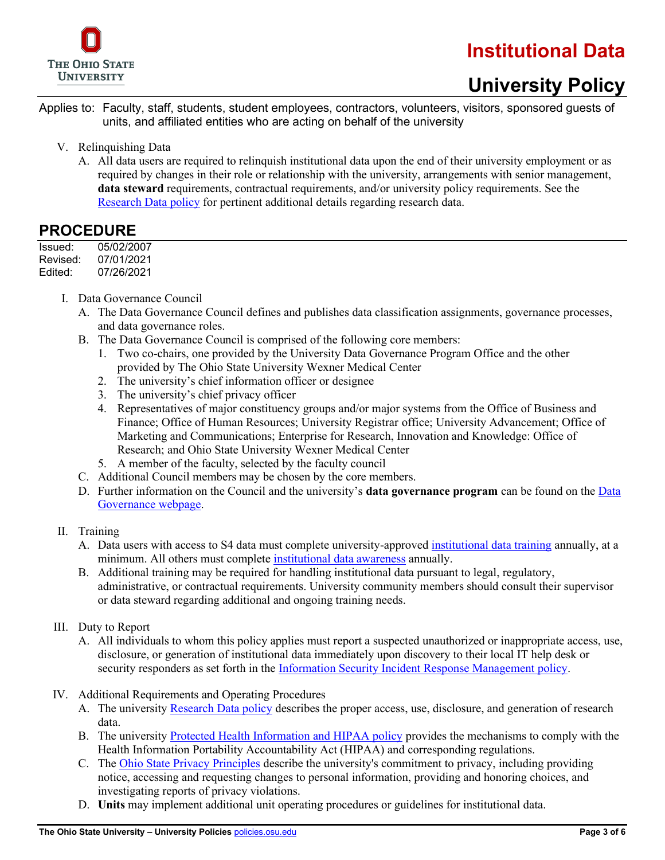

# **University Policy**

Applies to: Faculty, staff, students, student employees, contractors, volunteers, visitors, sponsored guests of units, and affiliated entities who are acting on behalf of the university

- V. Relinquishing Data
	- A. All data users are required to relinquish institutional data upon the end of their university employment or as required by changes in their role or relationship with the university, arrangements with senior management, **data steward** requirements, contractual requirements, and/or university policy requirements. See the [Research Data policy](http://orc.osu.edu/files/ResearchDataPolicy.pdf) for pertinent additional details regarding research data.

#### **PROCEDURE**

| Issued:  | 05/02/2007 |
|----------|------------|
| Revised: | 07/01/2021 |
| Edited:  | 07/26/2021 |

- I. Data Governance Council
	- A. The Data Governance Council defines and publishes data classification assignments, governance processes, and data governance roles.
	- B. The Data Governance Council is comprised of the following core members:
		- 1. Two co-chairs, one provided by the University Data Governance Program Office and the other provided by The Ohio State University Wexner Medical Center
		- 2. The university's chief information officer or designee
		- 3. The university's chief privacy officer
		- 4. Representatives of major constituency groups and/or major systems from the Office of Business and Finance; Office of Human Resources; University Registrar office; University Advancement; Office of Marketing and Communications; Enterprise for Research, Innovation and Knowledge: Office of Research; and Ohio State University Wexner Medical Center
		- 5. A member of the faculty, selected by the faculty council
	- C. Additional Council members may be chosen by the core members.
	- D. Further information on the Council and the university's **data governance program** can be found on th[e Data](https://data.osu.edu/data/data-governance)  [Governance webpage.](https://data.osu.edu/data/data-governance)

#### II. Training

- A. Data users with access to S4 data must complete university-approved [institutional data training](https://go.osu.edu/idp-training) annually, at a minimum. All others must complete [institutional data awareness](https://cybersecurity.osu.edu/IDP_Awareness) annually.
- B. Additional training may be required for handling institutional data pursuant to legal, regulatory, administrative, or contractual requirements. University community members should consult their supervisor or data steward regarding additional and ongoing training needs.
- III. Duty to Report
	- A. All individuals to whom this policy applies must report a suspected unauthorized or inappropriate access, use, disclosure, or generation of institutional data immediately upon discovery to their local IT help desk or security responders as set forth in the [Information Security Incident Response Management policy.](https://go.osu.edu/infosec-isirmp)
- IV. Additional Requirements and Operating Procedures
	- A. The university [Research Data policy](http://go.osu.edu/researchdatapolicy) describes the proper access, use, disclosure, and generation of research data.
	- B. The university [Protected Health Information and HIPAA policy](https://go.osu.edu/phi-hipaa-policy) provides the mechanisms to comply with the Health Information Portability Accountability Act (HIPAA) and corresponding regulations.
	- C. The [Ohio State Privacy Principles](https://it.osu.edu/privacy) describe the university's commitment to privacy, including providing notice, accessing and requesting changes to personal information, providing and honoring choices, and investigating reports of privacy violations.
	- D. **Units** may implement additional unit operating procedures or guidelines for institutional data.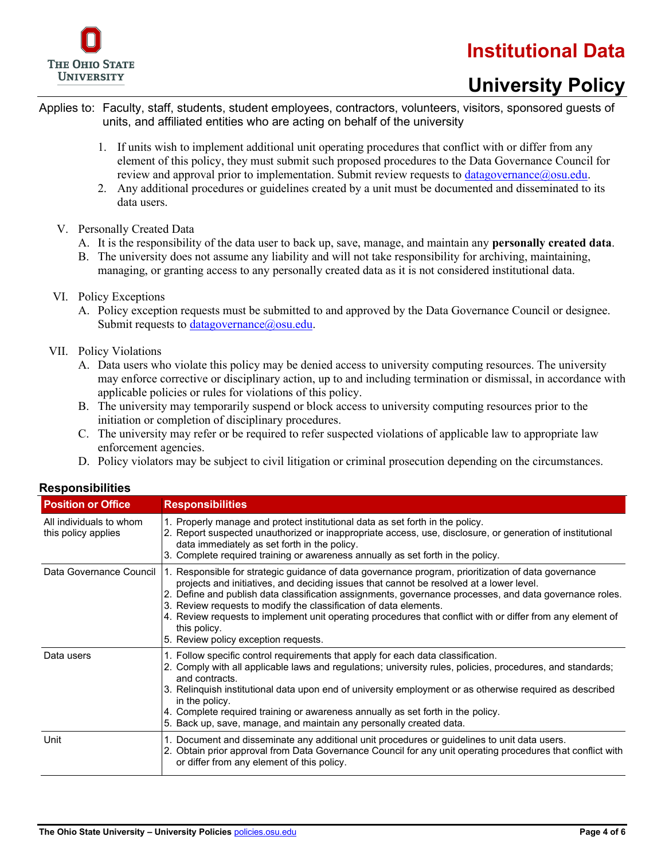

# **University Policy**

- Applies to: Faculty, staff, students, student employees, contractors, volunteers, visitors, sponsored guests of units, and affiliated entities who are acting on behalf of the university
	- 1. If units wish to implement additional unit operating procedures that conflict with or differ from any element of this policy, they must submit such proposed procedures to the Data Governance Council for review and approval prior to implementation. Submit review requests to [datagovernance@osu.edu.](mailto:idcc@osu.edu)
	- 2. Any additional procedures or guidelines created by a unit must be documented and disseminated to its data users.
	- V. Personally Created Data
		- A. It is the responsibility of the data user to back up, save, manage, and maintain any **personally created data**.
		- B. The university does not assume any liability and will not take responsibility for archiving, maintaining, managing, or granting access to any personally created data as it is not considered institutional data.
	- VI. Policy Exceptions
		- A. Policy exception requests must be submitted to and approved by the Data Governance Council or designee. Submit requests to [datagovernance@osu.edu.](mailto:datagovernance@osu.edu)
	- VII. Policy Violations
		- A. Data users who violate this policy may be denied access to university computing resources. The university may enforce corrective or disciplinary action, up to and including termination or dismissal, in accordance with applicable policies or rules for violations of this policy.
		- B. The university may temporarily suspend or block access to university computing resources prior to the initiation or completion of disciplinary procedures.
		- C. The university may refer or be required to refer suspected violations of applicable law to appropriate law enforcement agencies.
		- D. Policy violators may be subject to civil litigation or criminal prosecution depending on the circumstances.

| <b>Position or Office</b>                      | <b>Responsibilities</b>                                                                                                                                                                                                                                                                                                                                                                                                                                                                                                                              |
|------------------------------------------------|------------------------------------------------------------------------------------------------------------------------------------------------------------------------------------------------------------------------------------------------------------------------------------------------------------------------------------------------------------------------------------------------------------------------------------------------------------------------------------------------------------------------------------------------------|
| All individuals to whom<br>this policy applies | 1. Properly manage and protect institutional data as set forth in the policy.<br>2. Report suspected unauthorized or inappropriate access, use, disclosure, or generation of institutional<br>data immediately as set forth in the policy.<br>3. Complete required training or awareness annually as set forth in the policy.                                                                                                                                                                                                                        |
| Data Governance Council                        | 1. Responsible for strategic guidance of data governance program, prioritization of data governance<br>projects and initiatives, and deciding issues that cannot be resolved at a lower level.<br>2. Define and publish data classification assignments, governance processes, and data governance roles.<br>3. Review requests to modify the classification of data elements.<br>4. Review requests to implement unit operating procedures that conflict with or differ from any element of<br>this policy.<br>5. Review policy exception requests. |
| Data users                                     | 1. Follow specific control requirements that apply for each data classification.<br>2. Comply with all applicable laws and regulations; university rules, policies, procedures, and standards;<br>and contracts.<br>3. Relinquish institutional data upon end of university employment or as otherwise required as described<br>in the policy.<br>4. Complete required training or awareness annually as set forth in the policy.<br>5. Back up, save, manage, and maintain any personally created data.                                             |
| Unit                                           | 1. Document and disseminate any additional unit procedures or guidelines to unit data users.<br>2. Obtain prior approval from Data Governance Council for any unit operating procedures that conflict with<br>or differ from any element of this policy.                                                                                                                                                                                                                                                                                             |

#### **Responsibilities**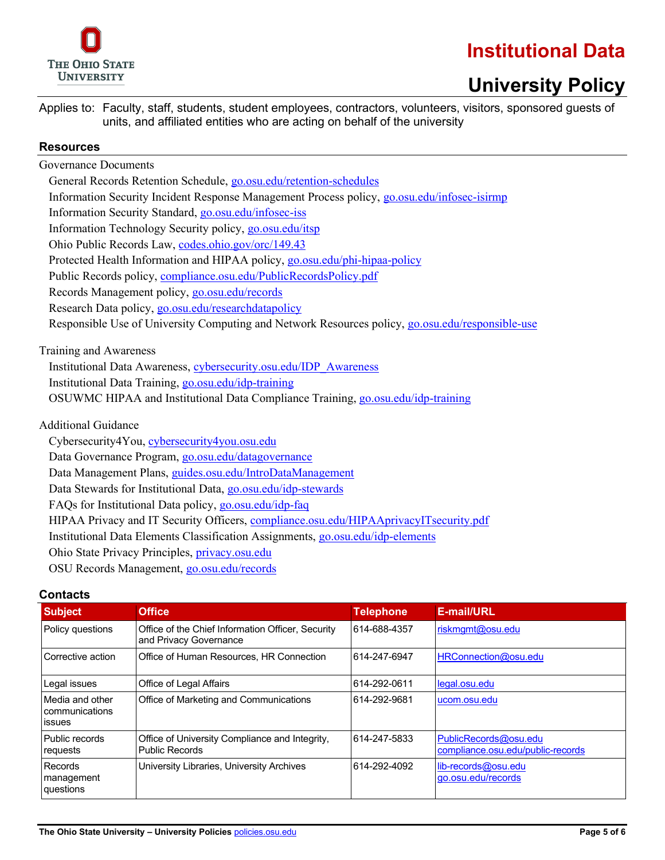

# **University Policy**

Applies to: Faculty, staff, students, student employees, contractors, volunteers, visitors, sponsored guests of units, and affiliated entities who are acting on behalf of the university

#### **Resources**

Governance Documents General Records Retention Schedule[, go.osu.edu/retention-schedules](http://go.osu.edu/retention-schedules)  Information Security Incident Response Management Process policy, [go.osu.edu/infosec-isirmp](https://go.osu.edu/infosec-isirmp) Information Security Standard, [go.osu.edu/infosec-iss](https://go.osu.edu/infosec-iss) Information Technology Security policy, [go.osu.edu/itsp](https://go.osu.edu/itsp) Ohio Public Records Law, [codes.ohio.gov/orc/149.43](http://codes.ohio.gov/orc/149.43) Protected Health Information and HIPAA policy[, go.osu.edu/phi-hipaa-policy](https://go.osu.edu/phi-hipaa-policy) Public Records policy[, compliance.osu.edu/PublicRecordsPolicy.pdf](http://compliance.osu.edu/PublicRecordsPolicy.pdf) Records Management policy, [go.osu.edu/records](https://go.osu.edu/records) Research Data policy, [go.osu.edu/researchdatapolicy](http://go.osu.edu/researchdatapolicy) Responsible Use of University Computing and Network Resources policy, [go.osu.edu/responsible-use](https://go.osu.edu/responsible-use) Training and Awareness Institutional Data Awareness, [cybersecurity.osu.edu/IDP\\_Awareness](https://cybersecurity.osu.edu/IDP_Awareness) Institutional Data Training, [go.osu.edu/idp-training](https://go.osu.edu/idp-training) OSUWMC HIPAA and Institutional Data Compliance Training, [go.osu.edu/idp-training](https://go.osu.edu/idp-training) Additional Guidance Cybersecurity4You, [cybersecurity4you.osu.edu](http://cybersecurity4you.osu.edu/)  Data Governance Program, [go.osu.edu/datagovernance](https://go.osu.edu/datagovernance) Data Management Plans, [guides.osu.edu/IntroDataManagement](https://guides.osu.edu/IntroDataManagement) Data Stewards for Institutional Data, [go.osu.edu/idp-stewards](http://go.osu.edu/idp-stewards) FAQs for Institutional Data policy, [go.osu.edu/idp-faq](http://go.osu.edu/idp-faq) HIPAA Privacy and IT Security Officers, [compliance.osu.edu/HIPAAprivacyITsecurity.pdf](http://compliance.osu.edu/HIPAAprivacyITsecurity.pdf) Institutional Data Elements Classification Assignments, [go.osu.edu/idp-elements](http://go.osu.edu/idp-elements) Ohio State Privacy Principles, [privacy.osu.edu](http://privacy.osu.edu/) OSU Records Management, [go.osu.edu/records](http://go.osu.edu/records)

#### **Contacts**

| <b>Subject</b>                                                                  | <b>Office</b>                                                               | <b>Telephone</b> | E-mail/URL                                                 |  |
|---------------------------------------------------------------------------------|-----------------------------------------------------------------------------|------------------|------------------------------------------------------------|--|
| Policy questions                                                                | Office of the Chief Information Officer, Security<br>and Privacy Governance | 614-688-4357     | riskmgmt@osu.edu                                           |  |
| Corrective action                                                               | Office of Human Resources, HR Connection                                    | 614-247-6947     | HRConnection@osu.edu                                       |  |
| Legal issues                                                                    | Office of Legal Affairs                                                     | 614-292-0611     | legal.osu.edu                                              |  |
| Media and other<br>communications<br><b>issues</b>                              | Office of Marketing and Communications                                      | 614-292-9681     | ucom.osu.edu                                               |  |
| Public records<br>requests                                                      | Office of University Compliance and Integrity,<br><b>Public Records</b>     | 614-247-5833     | PublicRecords@osu.edu<br>compliance.osu.edu/public-records |  |
| University Libraries, University Archives<br>Records<br>management<br>questions |                                                                             | 614-292-4092     | lib-records@osu.edu<br>go.osu.edu/records                  |  |